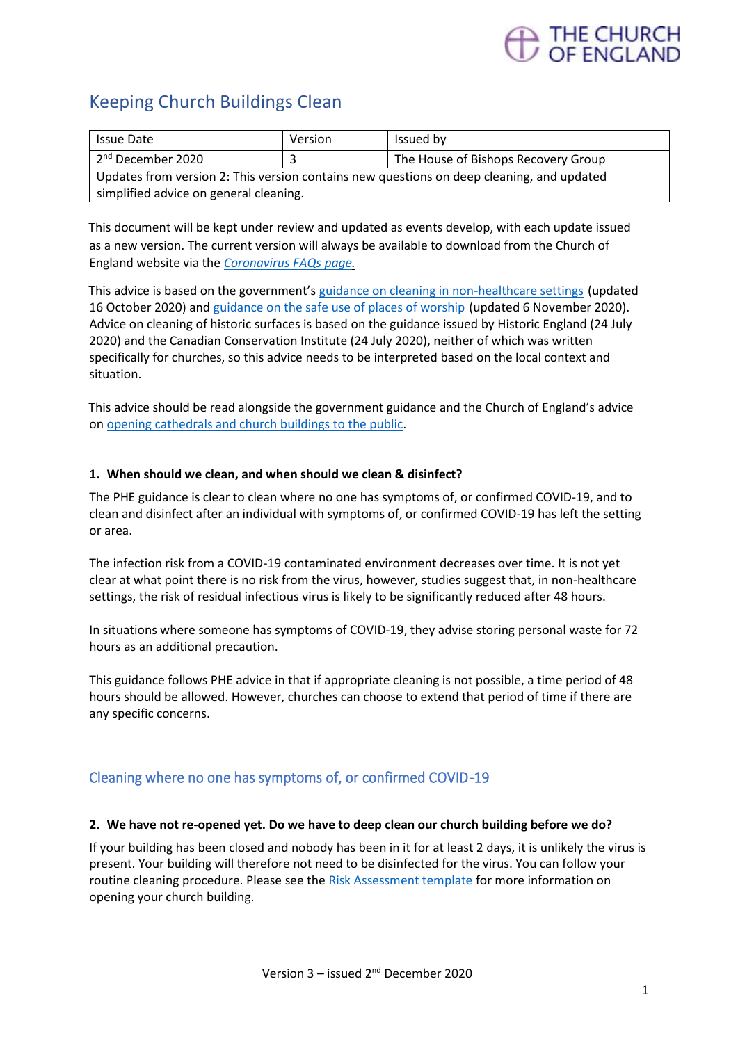# THE CHURCH<br>OF ENGLAND

# Keeping Church Buildings Clean

| <b>Issue Date</b>                                                                         | Version | Issued by                           |
|-------------------------------------------------------------------------------------------|---------|-------------------------------------|
| 2 <sup>nd</sup> December 2020                                                             |         | The House of Bishops Recovery Group |
| Updates from version 2: This version contains new questions on deep cleaning, and updated |         |                                     |
| simplified advice on general cleaning.                                                    |         |                                     |

This document will be kept under review and updated as events develop, with each update issued as a new version. The current version will always be available to download from the Church of England website via the *[Coronavirus FAQs page.](https://www.churchofengland.org/more/media-centre/coronavirus-covid-19-guidance-churches)*

This advice is based on the government's [guidance on cleaning in non-healthcare settings](https://www.gov.uk/government/publications/covid-19-decontamination-in-non-healthcare-settings/covid-19-decontamination-in-non-healthcare-settings#left-area) (updated 16 October 2020) and [guidance on the safe use of places of worship](https://www.gov.uk/government/publications/covid-19-guidance-for-the-safe-use-of-places-of-worship-during-the-pandemic-from-4-july#section3) (updated 6 November 2020). Advice on cleaning of historic surfaces is based on the guidance issued by Historic England (24 July 2020) and the Canadian Conservation Institute (24 July 2020), neither of which was written specifically for churches, so this advice needs to be interpreted based on the local context and situation.

This advice should be read alongside the government guidance and the Church of England's advice on [opening cathedrals and church buildings to the public.](https://www.churchofengland.org/sites/default/files/2020-09/COVID%2019%20advice%20for%20opening%20cathedral%20and%20church%20buildings%20v4.0.pdf)

#### **1. When should we clean, and when should we clean & disinfect?**

The PHE guidance is clear to clean where no one has symptoms of, or confirmed COVID-19, and to clean and disinfect after an individual with symptoms of, or confirmed COVID-19 has left the setting or area.

The infection risk from a COVID-19 contaminated environment decreases over time. It is not yet clear at what point there is no risk from the virus, however, studies suggest that, in non-healthcare settings, the risk of residual infectious virus is likely to be significantly reduced after 48 hours.

In situations where someone has symptoms of COVID-19, they advise storing personal waste for 72 hours as an additional precaution.

This guidance follows PHE advice in that if appropriate cleaning is not possible, a time period of 48 hours should be allowed. However, churches can choose to extend that period of time if there are any specific concerns.

### Cleaning where no one has symptoms of, or confirmed COVID-19

#### **2. We have not re-opened yet. Do we have to deep clean our church building before we do?**

If your building has been closed and nobody has been in it for at least 2 days, it is unlikely the virus is present. Your building will therefore not need to be disinfected for the virus. You can follow your routine cleaning procedure. Please see the [Risk Assessment template](https://www.churchofengland.org/media/20510) for more information on opening your church building.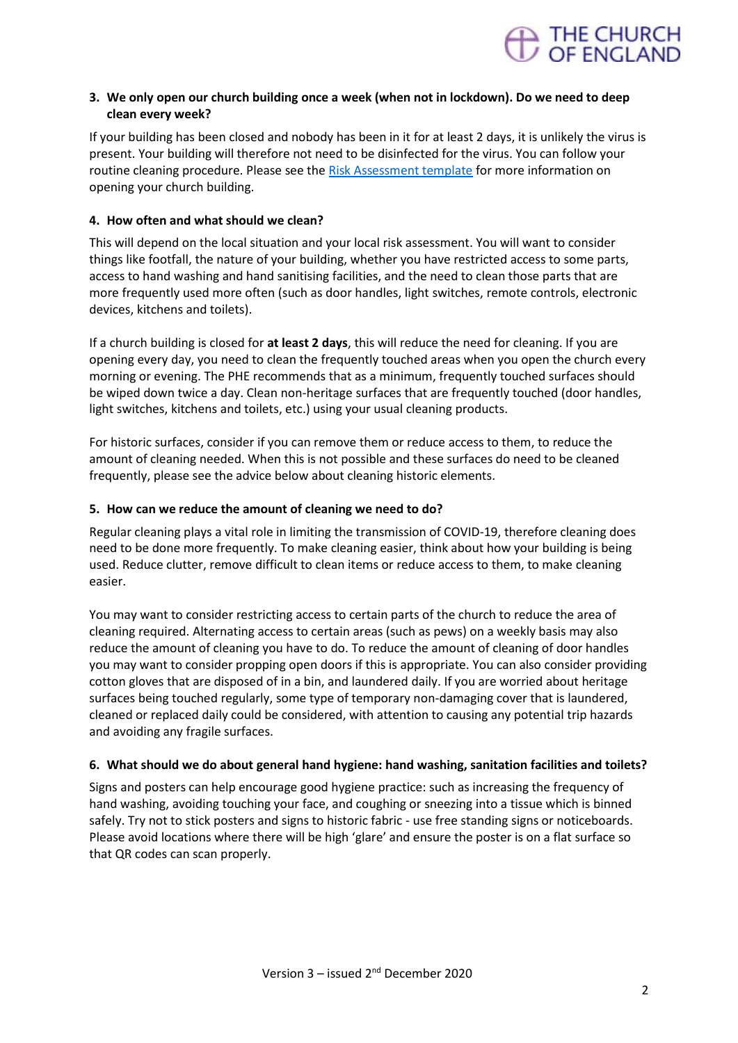

#### **3. We only open our church building once a week (when not in lockdown). Do we need to deep clean every week?**

If your building has been closed and nobody has been in it for at least 2 days, it is unlikely the virus is present. Your building will therefore not need to be disinfected for the virus. You can follow your routine cleaning procedure. Please see the [Risk Assessment template](https://www.churchofengland.org/media/20510) for more information on opening your church building.

#### **4. How often and what should we clean?**

This will depend on the local situation and your local risk assessment. You will want to consider things like footfall, the nature of your building, whether you have restricted access to some parts, access to hand washing and hand sanitising facilities, and the need to clean those parts that are more frequently used more often (such as door handles, light switches, remote controls, electronic devices, kitchens and toilets).

If a church building is closed for **at least 2 days**, this will reduce the need for cleaning. If you are opening every day, you need to clean the frequently touched areas when you open the church every morning or evening. The PHE recommends that as a minimum, frequently touched surfaces should be wiped down twice a day. Clean non-heritage surfaces that are frequently touched (door handles, light switches, kitchens and toilets, etc.) using your usual cleaning products.

For historic surfaces, consider if you can remove them or reduce access to them, to reduce the amount of cleaning needed. When this is not possible and these surfaces do need to be cleaned frequently, please see the advice below about cleaning historic elements.

#### **5. How can we reduce the amount of cleaning we need to do?**

Regular cleaning plays a vital role in limiting the transmission of COVID-19, therefore cleaning does need to be done more frequently. To make cleaning easier, think about how your building is being used. Reduce clutter, remove difficult to clean items or reduce access to them, to make cleaning easier.

You may want to consider restricting access to certain parts of the church to reduce the area of cleaning required. Alternating access to certain areas (such as pews) on a weekly basis may also reduce the amount of cleaning you have to do. To reduce the amount of cleaning of door handles you may want to consider propping open doors if this is appropriate. You can also consider providing cotton gloves that are disposed of in a bin, and laundered daily. If you are worried about heritage surfaces being touched regularly, some type of temporary non-damaging cover that is laundered, cleaned or replaced daily could be considered, with attention to causing any potential trip hazards and avoiding any fragile surfaces.

#### **6. What should we do about general hand hygiene: hand washing, sanitation facilities and toilets?**

Signs and posters can help encourage good hygiene practice: such as increasing the frequency of hand washing, avoiding touching your face, and coughing or sneezing into a tissue which is binned safely. Try not to stick posters and signs to historic fabric - use free standing signs or noticeboards. Please avoid locations where there will be high 'glare' and ensure the poster is on a flat surface so that QR codes can scan properly.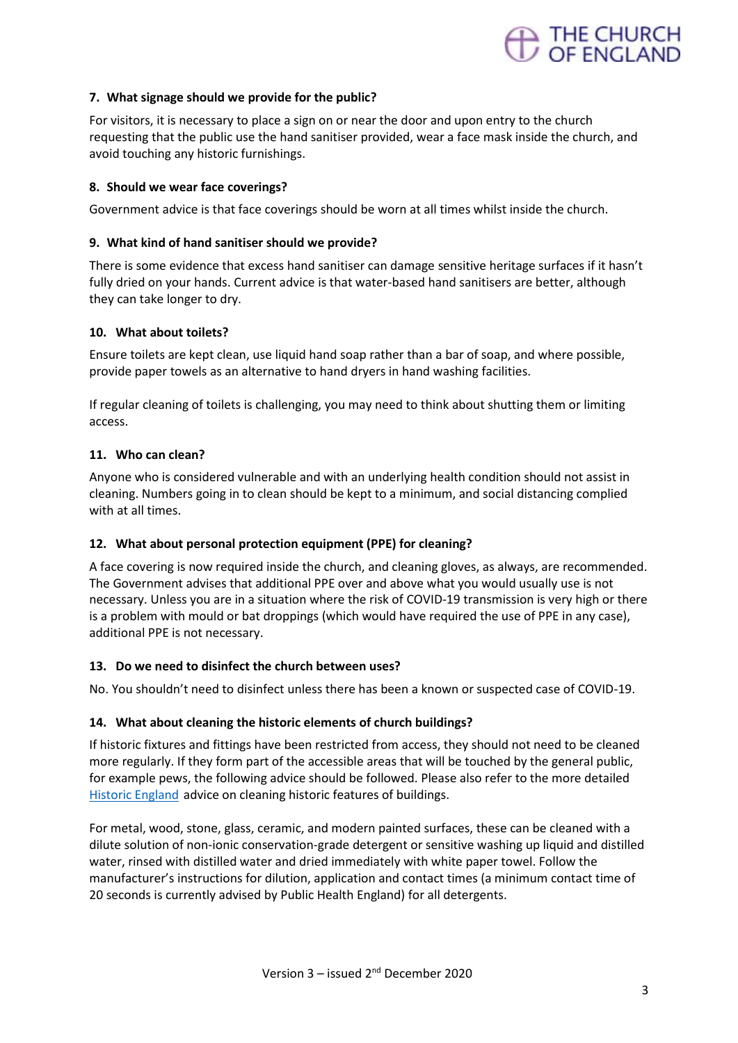

#### **7. What signage should we provide for the public?**

For visitors, it is necessary to place a sign on or near the door and upon entry to the church requesting that the public use the hand sanitiser provided, wear a face mask inside the church, and avoid touching any historic furnishings.

#### **8. Should we wear face coverings?**

Government advice is that face coverings should be worn at all times whilst inside the church.

#### **9. What kind of hand sanitiser should we provide?**

There is some evidence that excess hand sanitiser can damage sensitive heritage surfaces if it hasn't fully dried on your hands. Current advice is that water-based hand sanitisers are better, although they can take longer to dry.

#### **10. What about toilets?**

Ensure toilets are kept clean, use liquid hand soap rather than a bar of soap, and where possible, provide paper towels as an alternative to hand dryers in hand washing facilities.

If regular cleaning of toilets is challenging, you may need to think about shutting them or limiting access.

#### **11. Who can clean?**

Anyone who is considered vulnerable and with an underlying health condition should not assist in cleaning. Numbers going in to clean should be kept to a minimum, and social distancing complied with at all times.

#### **12. What about personal protection equipment (PPE) for cleaning?**

A face covering is now required inside the church, and cleaning gloves, as always, are recommended. The Government advises that additional PPE over and above what you would usually use is not necessary. Unless you are in a situation where the risk of COVID-19 transmission is very high or there is a problem with mould or bat droppings (which would have required the use of PPE in any case), additional PPE is not necessary.

#### **13. Do we need to disinfect the church between uses?**

No. You shouldn't need to disinfect unless there has been a known or suspected case of COVID-19.

#### **14. What about cleaning the historic elements of church buildings?**

If historic fixtures and fittings have been restricted from access, they should not need to be cleaned more regularly. If they form part of the accessible areas that will be touched by the general public, for example pews, the following advice should be followed. Please also refer to the more detailed [Historic England](https://historicengland.org.uk/coronavirus/historic-places/cleaning-disinfecting-historic-surfaces/) advice on cleaning historic features of buildings.

For metal, wood, stone, glass, ceramic, and modern painted surfaces, these can be cleaned with a dilute solution of non-ionic conservation-grade detergent or sensitive washing up liquid and distilled water, rinsed with distilled water and dried immediately with white paper towel. Follow the manufacturer's instructions for dilution, application and contact times (a minimum contact time of 20 seconds is currently advised by Public Health England) for all detergents.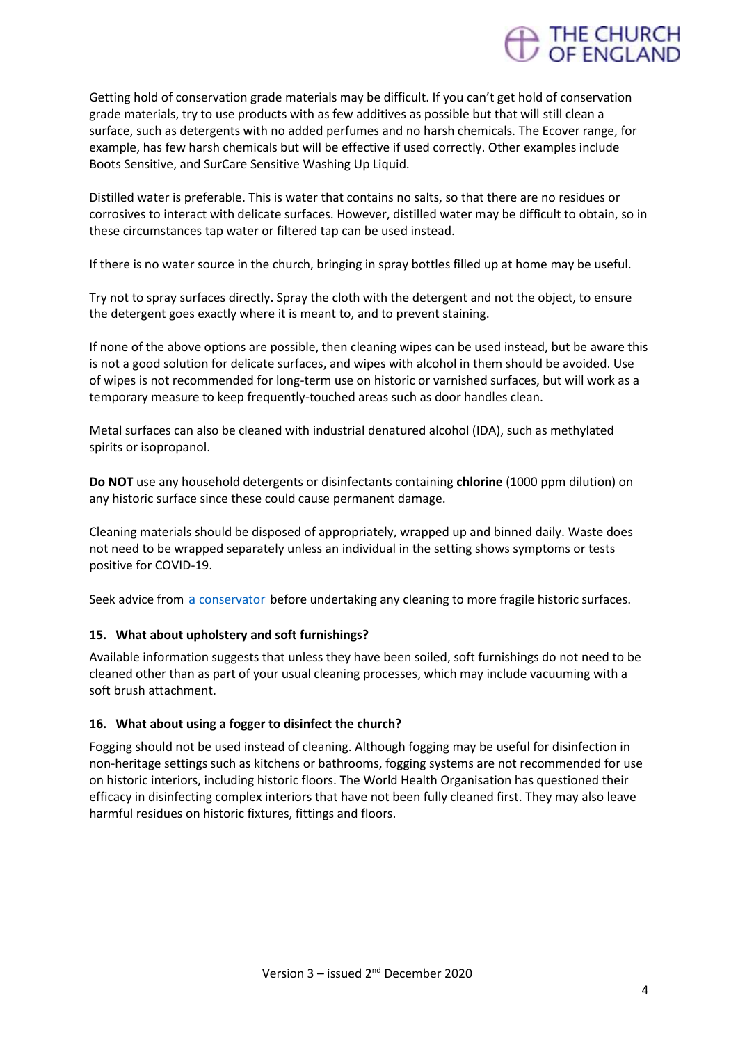

Getting hold of conservation grade materials may be difficult. If you can't get hold of conservation grade materials, try to use products with as few additives as possible but that will still clean a surface, such as detergents with no added perfumes and no harsh chemicals. The Ecover range, for example, has few harsh chemicals but will be effective if used correctly. Other examples include Boots Sensitive, and SurCare Sensitive Washing Up Liquid.

Distilled water is preferable. This is water that contains no salts, so that there are no residues or corrosives to interact with delicate surfaces. However, distilled water may be difficult to obtain, so in these circumstances tap water or filtered tap can be used instead.

If there is no water source in the church, bringing in spray bottles filled up at home may be useful.

Try not to spray surfaces directly. Spray the cloth with the detergent and not the object, to ensure the detergent goes exactly where it is meant to, and to prevent staining.

If none of the above options are possible, then cleaning wipes can be used instead, but be aware this is not a good solution for delicate surfaces, and wipes with alcohol in them should be avoided. Use of wipes is not recommended for long-term use on historic or varnished surfaces, but will work as a temporary measure to keep frequently-touched areas such as door handles clean.

Metal surfaces can also be cleaned with industrial denatured alcohol (IDA), such as methylated spirits or isopropanol.

**Do NOT** use any household detergents or disinfectants containing **chlorine** (1000 ppm dilution) on any historic surface since these could cause permanent damage.

Cleaning materials should be disposed of appropriately, wrapped up and binned daily. Waste does not need to be wrapped separately unless an individual in the setting shows symptoms or tests positive for COVID-19.

Seek advice from a [conservato](https://icon.org.uk/icon-resources/caring-for-your-collection)r before undertaking any cleaning to more fragile historic surfaces.

#### **15. What about upholstery and soft furnishings?**

Available information suggests that unless they have been soiled, soft furnishings do not need to be cleaned other than as part of your usual cleaning processes, which may include vacuuming with a soft brush attachment.

#### **16. What about using a fogger to disinfect the church?**

Fogging should not be used instead of cleaning. Although fogging may be useful for disinfection in non-heritage settings such as kitchens or bathrooms, fogging systems are not recommended for use on historic interiors, including historic floors. The World Health Organisation has questioned their efficacy in disinfecting complex interiors that have not been fully cleaned first. They may also leave harmful residues on historic fixtures, fittings and floors.